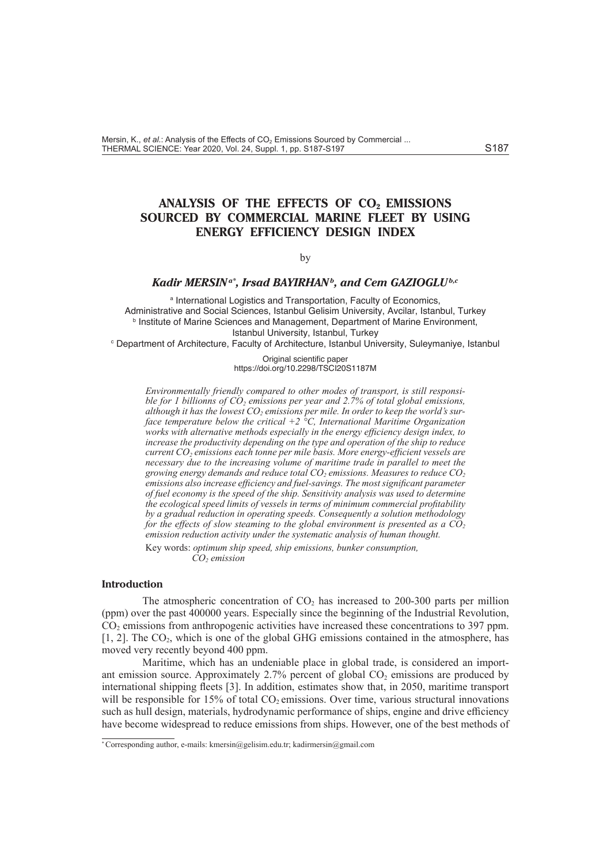# **ANALYSIS OF THE EFFECTS OF CO2 EMISSIONS SOURCED BY COMMERCIAL MARINE FLEET BY USING ENERGY EFFICIENCY DESIGN INDEX**

#### by

## *Kadir MERSINa\* , Irsad BAYIRHANb, and Cem GAZIOGLUb,c*

a International Logistics and Transportation, Faculty of Economics, Administrative and Social Sciences, Istanbul Gelisim University, Avcilar, Istanbul, Turkey **b** Institute of Marine Sciences and Management, Department of Marine Environment, Istanbul University, Istanbul, Turkey

c Department of Architecture, Faculty of Architecture, Istanbul University, Suleymaniye, Istanbul

Original scientific paper https://doi.org/10.2298/TSCI20S1187M

*Environmentally friendly compared to other modes of transport, is still responsible for 1 billionns of*  $CO<sub>2</sub>$  *emissions per year and 2.7% of total global emissions,* although it has the lowest CO<sub>2</sub> emissions per mile. In order to keep the world's sur*face temperature below the critical +2 °C, International Maritime Organization works with alternative methods especially in the energy efficiency design index, to increase the productivity depending on the type and operation of the ship to reduce current CO2 emissions each tonne per mile basis. More energy-efficient vessels are necessary due to the increasing volume of maritime trade in parallel to meet the growing energy demands and reduce total CO2 emissions. Measures to reduce CO2 emissions also increase efficiency and fuel-savings. The most significant parameter of fuel economy is the speed of the ship. Sensitivity analysis was used to determine the ecological speed limits of vessels in terms of minimum commercial profitability by a gradual reduction in operating speeds. Consequently a solution methodology for the effects of slow steaming to the global environment is presented as a CO<sup>2</sup> emission reduction activity under the systematic analysis of human thought.* 

Key words: *optimum ship speed, ship emissions, bunker consumption,*   $CO$ <sub>2</sub> emission

## **Introduction**

The atmospheric concentration of  $CO<sub>2</sub>$  has increased to 200-300 parts per million (ppm) over the past 400000 years. Especially since the beginning of the Industrial Revolution, CO2 emissions from anthropogenic activities have increased these concentrations to 397 ppm.  $[1, 2]$ . The  $CO<sub>2</sub>$ , which is one of the global GHG emissions contained in the atmosphere, has moved very recently beyond 400 ppm.

Maritime, which has an undeniable place in global trade, is considered an important emission source. Approximately  $2.7\%$  percent of global  $CO<sub>2</sub>$  emissions are produced by international shipping fleets [3]. In addition, estimates show that, in 2050, maritime transport will be responsible for 15% of total  $CO<sub>2</sub>$  emissions. Over time, various structural innovations such as hull design, materials, hydrodynamic performance of ships, engine and drive efficiency have become widespread to reduce emissions from ships. However, one of the best methods of

<sup>\*</sup> Corresponding author, e-mails: kmersin@gelisim.edu.tr; kadirmersin@gmail.com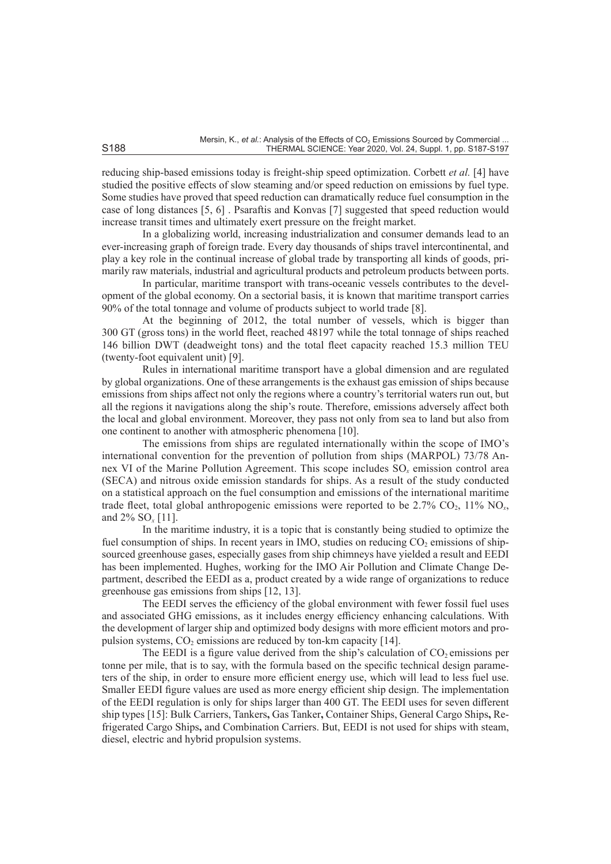reducing ship-based emissions today is freight-ship speed optimization. Corbett *et al.* [4] have studied the positive effects of slow steaming and/or speed reduction on emissions by fuel type. Some studies have proved that speed reduction can dramatically reduce fuel consumption in the case of long distances [5, 6] . Psaraftis and Konvas [7] suggested that speed reduction would increase transit times and ultimately exert pressure on the freight market.

In a globalizing world, increasing industrialization and consumer demands lead to an ever-increasing graph of foreign trade. Every day thousands of ships travel intercontinental, and play a key role in the continual increase of global trade by transporting all kinds of goods, primarily raw materials, industrial and agricultural products and petroleum products between ports.

In particular, maritime transport with trans-oceanic vessels contributes to the development of the global economy. On a sectorial basis, it is known that maritime transport carries 90% of the total tonnage and volume of products subject to world trade [8].

At the beginning of 2012, the total number of vessels, which is bigger than 300 GT (gross tons) in the world fleet, reached 48197 while the total tonnage of ships reached 146 billion DWT (deadweight tons) and the total fleet capacity reached 15.3 million TEU (twenty-foot equivalent unit) [9].

Rules in international maritime transport have a global dimension and are regulated by global organizations. One of these arrangements is the exhaust gas emission of ships because emissions from ships affect not only the regions where a country's territorial waters run out, but all the regions it navigations along the ship's route. Therefore, emissions adversely affect both the local and global environment. Moreover, they pass not only from sea to land but also from one continent to another with atmospheric phenomena [10].

The emissions from ships are regulated internationally within the scope of IMO's international convention for the prevention of pollution from ships (MARPOL) 73/78 Annex VI of the Marine Pollution Agreement. This scope includes SO*x* emission control area (SECA) and nitrous oxide emission standards for ships. As a result of the study conducted on a statistical approach on the fuel consumption and emissions of the international maritime trade fleet, total global anthropogenic emissions were reported to be  $2.7\%$  CO<sub>2</sub>, 11% NO<sub>x</sub>, and 2% SO*x* [11].

In the maritime industry, it is a topic that is constantly being studied to optimize the fuel consumption of ships. In recent years in IMO, studies on reducing  $CO<sub>2</sub>$  emissions of shipsourced greenhouse gases, especially gases from ship chimneys have yielded a result and EEDI has been implemented. Hughes, working for the IMO Air Pollution and Climate Change Department, described the EEDI as a, product created by a wide range of organizations to reduce greenhouse gas emissions from ships [12, 13].

The EEDI serves the efficiency of the global environment with fewer fossil fuel uses and associated GHG emissions, as it includes energy efficiency enhancing calculations. With the development of larger ship and optimized body designs with more efficient motors and propulsion systems,  $CO<sub>2</sub>$  emissions are reduced by ton-km capacity [14].

The EEDI is a figure value derived from the ship's calculation of  $CO<sub>2</sub>$  emissions per tonne per mile, that is to say, with the formula based on the specific technical design parameters of the ship, in order to ensure more efficient energy use, which will lead to less fuel use. Smaller EEDI figure values are used as more energy efficient ship design. The implementation of the EEDI regulation is only for ships larger than 400 GT. The EEDI uses for seven different ship types [15]: Bulk Carriers, Tankers**,** Gas Tanker**,** Container Ships, General Cargo Ships**,** Refrigerated Cargo Ships**,** and Combination Carriers. But, EEDI is not used for ships with steam, diesel, electric and hybrid propulsion systems.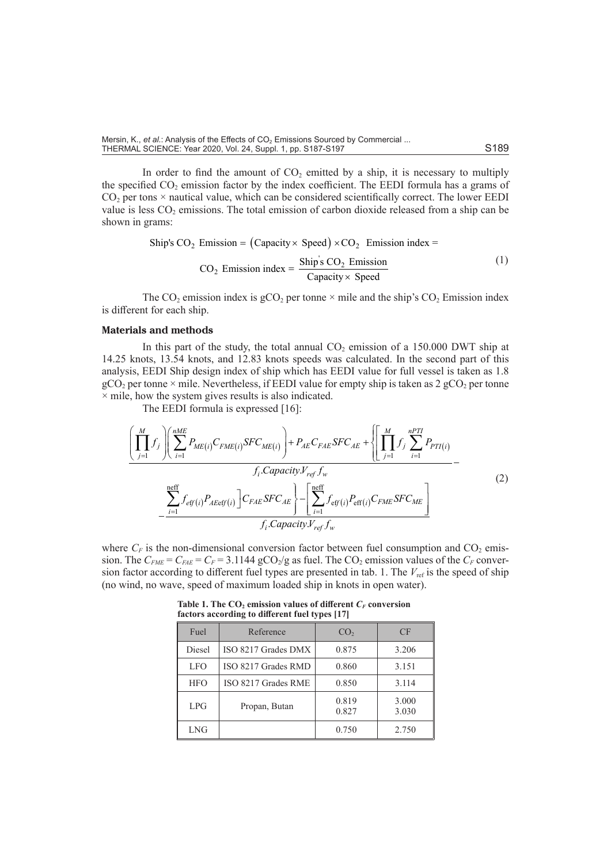Mersin, K., *et al.*: Analysis of the Effects of CO<sub>2</sub> Emissions Sourced by Commercial ... THERMAL SCIENCE: Year 2020, Vol. 24, Suppl. 1, pp. S187-S197

In order to find the amount of  $CO<sub>2</sub>$  emitted by a ship, it is necessary to multiply the specified  $CO<sub>2</sub>$  emission factor by the index coefficient. The EEDI formula has a grams of  $CO<sub>2</sub>$  per tons  $\times$  nautical value, which can be considered scientifically correct. The lower EEDI value is less  $CO<sub>2</sub>$  emissions. The total emission of carbon dioxide released from a ship can be shown in grams:

Ship's CO<sub>2</sub> Emission = (Capacity × Speed) × CO<sub>2</sub> Emission index =

\n
$$
CO_2 \text{ Emission index} = \frac{\text{Ship's CO}_2 \text{ Emission}}{\text{Capacity} \times \text{Speed}} \tag{1}
$$

The  $CO_2$  emission index is  $gCO_2$  per tonne  $\times$  mile and the ship's  $CO_2$  Emission index is different for each ship.

## **Materials and methods**

In this part of the study, the total annual  $CO<sub>2</sub>$  emission of a 150.000 DWT ship at 14.25 knots, 13.54 knots, and 12.83 knots speeds was calculated. In the second part of this analysis, EEDI Ship design index of ship which has EEDI value for full vessel is taken as 1.8  $gCO<sub>2</sub>$  per tonne  $\times$  mile. Nevertheless, if EEDI value for empty ship is taken as 2 gCO<sub>2</sub> per tonne  $\times$  mile, how the system gives results is also indicated.

The EEDI formula is expressed [16]:

$$
\left(\prod_{j=1}^{M} f_j\right) \left(\sum_{i=1}^{nME} P_{ME(i)} C_{FME(i)} SFC_{ME(i)}\right) + P_{AE} C_{FAE} SFC_{AE} + \left\{\left[\prod_{j=1}^{M} f_j\sum_{i=1}^{nPTI} P_{PTI(i)}\right.\right.\left.f_i.Capacity.V_{ref} f_w\right.\left.\sum_{i=1}^{neff} f_{eff(i)} P_{AEeff(i)}\right] C_{FAE} SFC_{AE}\right\} - \left[\sum_{i=1}^{neff} f_{eff(i)} P_{eff(i)} C_{FME} SFC_{ME}\right.\left.f_i.Capacity.V_{ref} f_w\right. (2)
$$

where  $C_F$  is the non-dimensional conversion factor between fuel consumption and  $CO_2$  emission. The  $C_{FME} = C_{FAE} = C_F = 3.1144$  gCO<sub>2</sub>/g as fuel. The CO<sub>2</sub> emission values of the  $C_F$  conversion factor according to different fuel types are presented in tab. 1. The  $V_{ref}$  is the speed of ship (no wind, no wave, speed of maximum loaded ship in knots in open water).

| Fuel       | Reference           | CO <sub>2</sub> | CF             |
|------------|---------------------|-----------------|----------------|
| Diesel     | ISO 8217 Grades DMX | 0.875           | 3.206          |
| LFO        | ISO 8217 Grades RMD | 0.860           | 3.151          |
| <b>HFO</b> | ISO 8217 Grades RME | 0.850           | 3.114          |
| LPG        | Propan, Butan       | 0.819<br>0.827  | 3.000<br>3.030 |
| LNG        |                     | 0.750           | 2.750          |

Table 1. The  $CO<sub>2</sub>$  emission values of different  $C<sub>F</sub>$  conversion **factors according to different fuel types [17]**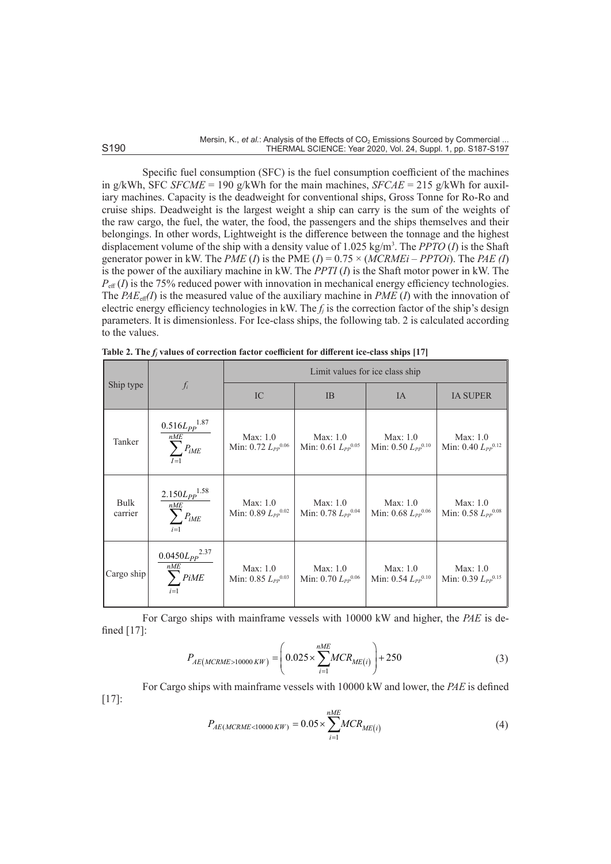Specific fuel consumption (SFC) is the fuel consumption coefficient of the machines in g/kWh, SFC *SFCME* = 190 g/kWh for the main machines, *SFCAE* = 215 g/kWh for auxiliary machines. Capacity is the deadweight for conventional ships, Gross Tonne for Ro-Ro and cruise ships. Deadweight is the largest weight a ship can carry is the sum of the weights of the raw cargo, the fuel, the water, the food, the passengers and the ships themselves and their belongings. In other words, Lightweight is the difference between the tonnage and the highest displacement volume of the ship with a density value of 1.025 kg/m<sup>3</sup> . The *PPTO* (*I*) is the Shaft generator power in kW. The *PME* (*I*) is the PME (*I*) = 0.75 × (*MCRMEi* – *PPTOi*). The *PAE (I*) is the power of the auxiliary machine in kW. The *PPTI* (*I*) is the Shaft motor power in kW. The  $P_{\text{eff}}(I)$  is the 75% reduced power with innovation in mechanical energy efficiency technologies. The  $PAE_{\text{eff}}(I)$  is the measured value of the auxiliary machine in *PME* (*I*) with the innovation of electric energy efficiency technologies in kW. The  $f_i$  is the correction factor of the ship's design parameters. It is dimensionless. For Ice-class ships, the following tab. 2 is calculated according to the values.

|                 |                                                                                                                                   | Limit values for ice class ship       |                                       |                                       |                                       |  |
|-----------------|-----------------------------------------------------------------------------------------------------------------------------------|---------------------------------------|---------------------------------------|---------------------------------------|---------------------------------------|--|
| Ship type       | $f_i$                                                                                                                             | IC                                    | IB                                    | IA                                    | <b>IA SUPER</b>                       |  |
| Tanker          | $0.516 L_{PP}$ <sup>1.87</sup><br>$\overline{\sum\limits_{l' \in \mathcal{N}_{i'}}^{h' \in \mathcal{N}_{i'}}} P_{i M E}$<br>$I=1$ | Max: 1.0<br>Min: $0.72 L_{PP}^{0.06}$ | Max: 1.0<br>Min: $0.61 L_{PP}^{0.05}$ | Max: 1.0<br>Min: $0.50 L_{PP}^{0.10}$ | Max: 1.0<br>Min: $0.40 L_{PP}^{0.12}$ |  |
| Bulk<br>carrier | $2.150L_{PP}$ <sup>1.58</sup><br>nME<br>$\sum^{n=1}P_{iME}$                                                                       | Max: 1.0<br>Min: 0.89 $L_{PP}^{0.02}$ | Max: 1.0<br>Min: $0.78 L_{PP}^{0.04}$ | Max: 1.0<br>Min: $0.68 L_{PP}^{0.06}$ | Max: 1.0<br>Min: $0.58 L_{PP}^{0.08}$ |  |
| Cargo ship      | $0.0450 L_{PP}$ <sup>2.37</sup><br>nME<br>$\sum$ PiME<br>$i=1$                                                                    | Max: 1.0<br>Min: $0.85 L_{PP}^{0.03}$ | Max: 1.0<br>Min: $0.70 L_{PP}^{0.06}$ | Max: 1.0<br>Min: $0.54 L_{PP}^{0.10}$ | Max: 1.0<br>Min: $0.39 L_{PP}^{0.15}$ |  |

Table 2. The  $f_j$  values of correction factor coefficient for different ice-class ships [17]

For Cargo ships with mainframe vessels with 10000 kW and higher, the *PAE* is defined [17]:

$$
P_{AE(MCRME>10000~KW)} = \left(0.025 \times \sum_{i=1}^{nME} MCR_{ME}(i)\right) + 250\tag{3}
$$

[17]:

For Cargo ships with mainframe vessels with 
$$
10000 \, \text{kW}
$$
 and lower, the *PAE* is defined  $10000 \, \text{kW}$ .

$$
P_{AE(MCRME < 10000 \, KW)} = 0.05 \times \sum_{i=1}^{nME} MCR_{ME(i)} \tag{4}
$$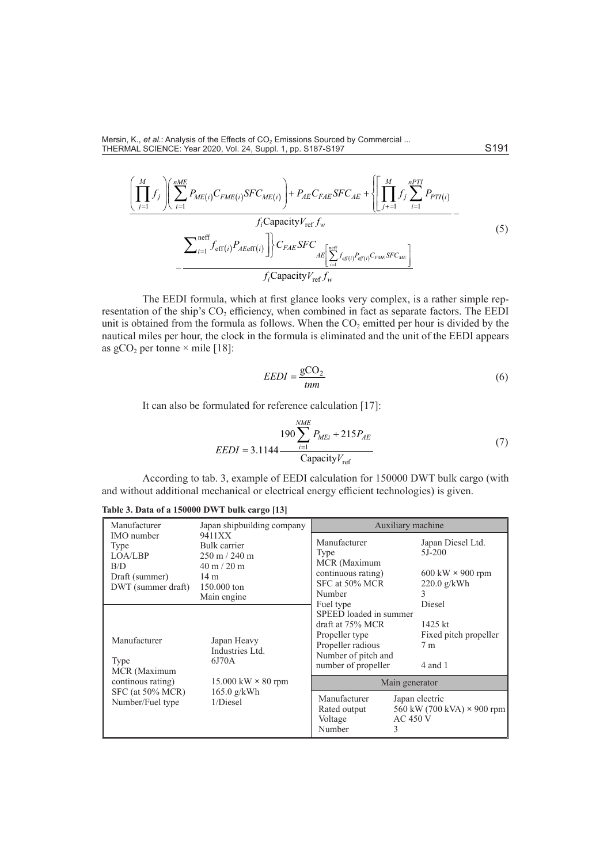$$
\left(\prod_{j=1}^{M} f_j\right) \left(\sum_{i=1}^{nME} P_{ME(i)} C_{FME(i)} SFC_{ME(i)}\right) + P_{AE} C_{FAE} SFC_{AE} + \left\{\left[\prod_{j+1}^{M} f_j\sum_{i=1}^{nPTI} P_{PTI(i)}\right.\right.\left.f_i \text{Capacity} V_{ref} f_w\right.\left.\sum_{i=1}^{neff} f_{\text{eff}(i)} P_{AEeff(i)}\right]\right\} C_{FAE} SFC_{AE} \left[\sum_{i=1}^{neff} f_{\text{eff}(i)} P_{\text{eff}(i)} C_{FME} SFC_{ME}\right.\left.f_i \text{Capacity} V_{ref} f_w\right. \tag{5}
$$

The EEDI formula, which at first glance looks very complex, is a rather simple representation of the ship's  $CO<sub>2</sub>$  efficiency, when combined in fact as separate factors. The EEDI unit is obtained from the formula as follows. When the  $CO<sub>2</sub>$  emitted per hour is divided by the nautical miles per hour, the clock in the formula is eliminated and the unit of the EEDI appears as  $gCO<sub>2</sub>$  per tonne  $\times$  mile [18]:

$$
EEDI = \frac{\text{gCO}_2}{\text{tnm}}\tag{6}
$$

It can also be formulated for reference calculation [17]:

$$
LEDI = 3.1144 \frac{190 \sum_{i=1}^{NME} P_{MEi} + 215 P_{AE}}{\text{Capacity}V_{\text{ref}}}
$$
(7)

According to tab. 3, example of EEDI calculation for 150000 DWT bulk cargo (with and without additional mechanical or electrical energy efficient technologies) is given.

| Manufacturer                                                                                      | Japan shipbuilding company                                                                                                                  |                                                                                                                                 | Auxiliary machine                                                                                             |  |
|---------------------------------------------------------------------------------------------------|---------------------------------------------------------------------------------------------------------------------------------------------|---------------------------------------------------------------------------------------------------------------------------------|---------------------------------------------------------------------------------------------------------------|--|
| <b>IMO</b> number<br>Type<br>LOA/LBP<br>B/D<br>Draft (summer)<br>DWT (summer draft)               | 9411XX<br>Bulk carrier<br>$250 \text{ m} / 240 \text{ m}$<br>$40 \text{ m} / 20 \text{ m}$<br>14 <sub>m</sub><br>150,000 ton<br>Main engine | Manufacturer<br>Type<br>MCR (Maximum<br>continuous rating)<br>SFC at 50% MCR<br>Number<br>Fuel type                             | Japan Diesel Ltd.<br>$5J-200$<br>$600 \text{ kW} \times 900 \text{ rpm}$<br>220.0 g/kWh<br>3<br><b>Diesel</b> |  |
| Manufacturer<br>Type<br>MCR (Maximum<br>continous rating)<br>SFC (at 50% MCR)<br>Number/Fuel type | Japan Heavy<br>Industries Ltd.<br>6J70A<br>$15.000 \text{ kW} \times 80 \text{ rpm}$<br>$165.0$ g/kWh<br>$1/Di$ esel                        | SPEED loaded in summer<br>draft at 75% MCR<br>Propeller type<br>Propeller radious<br>Number of pitch and<br>number of propeller | $1425$ kt<br>Fixed pitch propeller<br>7 <sub>m</sub><br>$4$ and $1$                                           |  |
|                                                                                                   |                                                                                                                                             | Main generator                                                                                                                  |                                                                                                               |  |
|                                                                                                   |                                                                                                                                             | Manufacturer<br>Rated output<br>Voltage<br>Number<br>3                                                                          | Japan electric<br>560 kW (700 kVA) $\times$ 900 rpm<br>$AC$ 450 V                                             |  |

**Table 3. Data of a 150000 DWT bulk cargo [13]**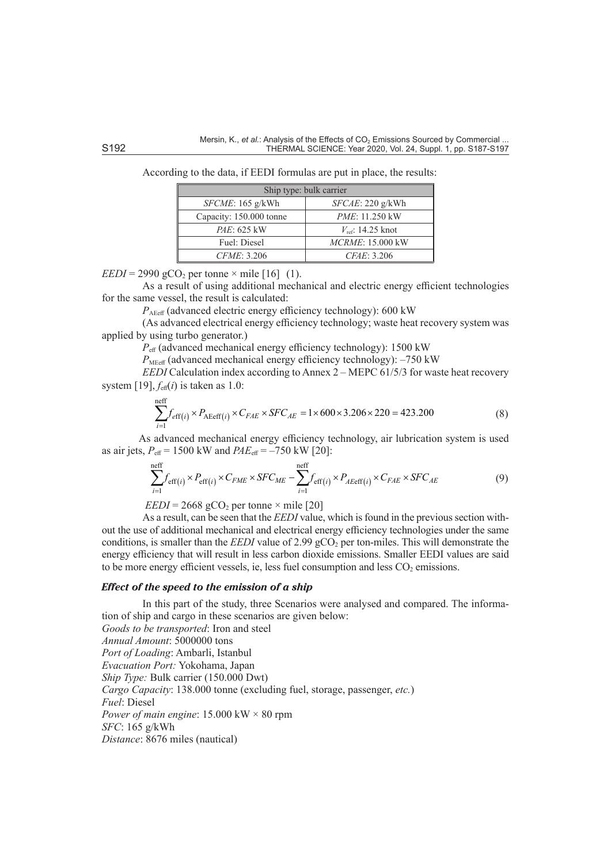| Ship type: bulk carrier |  |  |  |  |  |
|-------------------------|--|--|--|--|--|
| SFCAE: 220 g/kWh        |  |  |  |  |  |
| <i>PME</i> : 11.250 kW  |  |  |  |  |  |
| $V_{ref}$ : 14.25 knot  |  |  |  |  |  |
| MCRME: 15.000 kW        |  |  |  |  |  |
| CFAE: 3.206             |  |  |  |  |  |
|                         |  |  |  |  |  |

According to the data, if EEDI formulas are put in place, the results:

 $EEDI = 2990 \text{ gCO}_2 \text{ per tonne} \times \text{mile } [16]$  (1).

As a result of using additional mechanical and electric energy efficient technologies for the same vessel, the result is calculated:

 $P_{\text{AFeff}}$  (advanced electric energy efficiency technology): 600 kW

(As advanced electrical energy efficiency technology; waste heat recovery system was applied by using turbo generator.)

*P*eff (advanced mechanical energy efficiency technology): 1500 kW

 $P_{\text{MFeff}}$  (advanced mechanical energy efficiency technology):  $-750 \text{ kW}$ 

*EEDI* Calculation index according to Annex 2 – MEPC 61/5/3 for waste heat recovery system [19],  $f_{\text{eff}}(i)$  is taken as 1.0:

$$
\sum_{i=1}^{\text{neff}} f_{\text{eff}(i)} \times P_{\text{AEeff}(i)} \times C_{FAE} \times SFC_{AE} = 1 \times 600 \times 3.206 \times 220 = 423.200
$$
 (8)

As advanced mechanical energy efficiency technology, air lubrication system is used as air jets,  $P_{\text{eff}} = 1500 \text{ kW}$  and  $PAE_{\text{eff}} = -750 \text{ kW}$  [20]:

$$
\sum_{i=1}^{\text{neff}} f_{\text{eff}(i)} \times P_{\text{eff}(i)} \times C_{FME} \times SFC_{ME} - \sum_{i=1}^{\text{neff}} f_{\text{eff}(i)} \times P_{A\text{Eeff}(i)} \times C_{FAE} \times SFC_{AE}
$$
(9)

 $EEDI = 2668 \text{ gCO}_2 \text{ per tonne} \times \text{mile } [20]$ 

As a result, can be seen that the *EEDI* value, which is found in the previous section without the use of additional mechanical and electrical energy efficiency technologies under the same conditions, is smaller than the *EEDI* value of 2.99 gCO<sub>2</sub> per ton-miles. This will demonstrate the energy efficiency that will result in less carbon dioxide emissions. Smaller EEDI values are said to be more energy efficient vessels, ie, less fuel consumption and less  $CO<sub>2</sub>$  emissions.

#### *Effect of the speed to the emission of a ship*

In this part of the study, three Scenarios were analysed and compared. The information of ship and cargo in these scenarios are given below:

*Goods to be transported*: Iron and steel *Annual Amount*: 5000000 tons *Port of Loading*: Ambarli, Istanbul *Evacuation Port:* Yokohama, Japan *Ship Type:* Bulk carrier (150.000 Dwt) *Cargo Capacity*: 138.000 tonne (excluding fuel, storage, passenger, *etc.*) *Fuel*: Diesel *Power of main engine*: 15.000 kW × 80 rpm *SFC*: 165 g/kWh *Distance*: 8676 miles (nautical)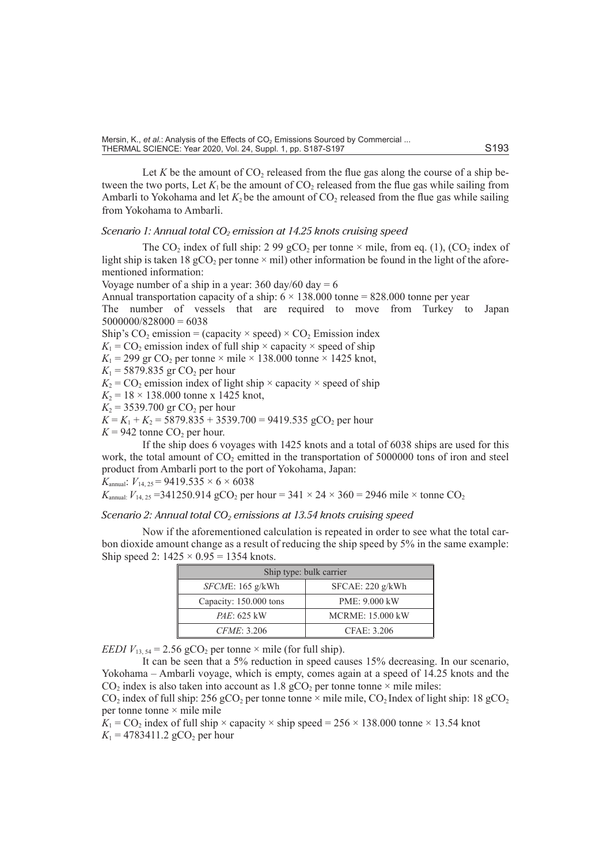Let  $K$  be the amount of  $CO_2$  released from the flue gas along the course of a ship between the two ports, Let  $K_1$  be the amount of  $CO_2$  released from the flue gas while sailing from Ambarli to Yokohama and let  $K_2$  be the amount of  $CO_2$  released from the flue gas while sailing from Yokohama to Ambarli.

## *Scenario 1: Annual total CO<sub>2</sub> emission at 14.25 knots cruising speed*

The CO<sub>2</sub> index of full ship: 2 99 gCO<sub>2</sub> per tonne  $\times$  mile, from eq. (1), (CO<sub>2</sub> index of light ship is taken 18 gCO<sub>2</sub> per tonne  $\times$  mil) other information be found in the light of the aforementioned information:

Voyage number of a ship in a year:  $360 \text{ day}/60 \text{ day} = 6$ 

Annual transportation capacity of a ship:  $6 \times 138.000$  tonne = 828.000 tonne per year

The number of vessels that are required to move from Turkey to Japan  $5000000/828000 = 6038$ 

Ship's CO<sub>2</sub> emission = (capacity  $\times$  speed)  $\times$  CO<sub>2</sub> Emission index

 $K_1$  = CO<sub>2</sub> emission index of full ship  $\times$  capacity  $\times$  speed of ship

 $K_1$  = 299 gr CO<sub>2</sub> per tonne × mile × 138.000 tonne × 1425 knot,

 $K_1 = 5879.835$  gr CO<sub>2</sub> per hour

 $K_2$  = CO<sub>2</sub> emission index of light ship  $\times$  capacity  $\times$  speed of ship

 $K_2 = 18 \times 138.000$  tonne x 1425 knot,

 $K_2$  = 3539.700 gr CO<sub>2</sub> per hour

 $K = K_1 + K_2 = 5879.835 + 3539.700 = 9419.535 \text{ gCO}_2 \text{ per hour}$ 

 $K = 942$  tonne  $CO<sub>2</sub>$  per hour.

If the ship does 6 voyages with 1425 knots and a total of 6038 ships are used for this work, the total amount of  $CO<sub>2</sub>$  emitted in the transportation of 5000000 tons of iron and steel product from Ambarli port to the port of Yokohama, Japan: *K*<sub>annual</sub>:  $V_{14, 25} = 9419.535 \times 6 \times 6038$ 

*K*<sub>annual:</sub>  $V_{14, 25}$  = 341250.914 gCO<sub>2</sub> per hour = 341 × 24 × 360 = 2946 mile × tonne CO<sub>2</sub>

## *Scenario 2: Annual total CO<sub>2</sub> emissions at 13.54 knots cruising speed*

Now if the aforementioned calculation is repeated in order to see what the total carbon dioxide amount change as a result of reducing the ship speed by 5% in the same example: Ship speed 2:  $1425 \times 0.95 = 1354$  knots.

| Ship type: bulk carrier              |                         |  |  |  |
|--------------------------------------|-------------------------|--|--|--|
| SFCAE: 220 g/kWh<br>SFCME: 165 g/kWh |                         |  |  |  |
| Capacity: 150.000 tons               | PME: 9.000 kW           |  |  |  |
| <i>PAE</i> : 625 kW                  | <b>MCRME: 15.000 kW</b> |  |  |  |
| <i>CFME</i> : 3.206                  | CFAE: 3.206             |  |  |  |

*EEDI*  $V_{13, 54} = 2.56$  gCO<sub>2</sub> per tonne  $\times$  mile (for full ship).

It can be seen that a 5% reduction in speed causes 15% decreasing. In our scenario, Yokohama – Ambarli voyage, which is empty, comes again at a speed of 14.25 knots and the  $CO<sub>2</sub>$  index is also taken into account as 1.8 gCO<sub>2</sub> per tonne tonne  $\times$  mile miles:

 $CO_2$  index of full ship: 256 gCO<sub>2</sub> per tonne tonne × mile mile,  $CO_2$  Index of light ship: 18 gCO<sub>2</sub> per tonne tonne × mile mile

 $K_1$  = CO<sub>2</sub> index of full ship  $\times$  capacity  $\times$  ship speed = 256  $\times$  138.000 tonne  $\times$  13.54 knot

 $K_1 = 4783411.2 \text{ gCO}_2 \text{ per hour}$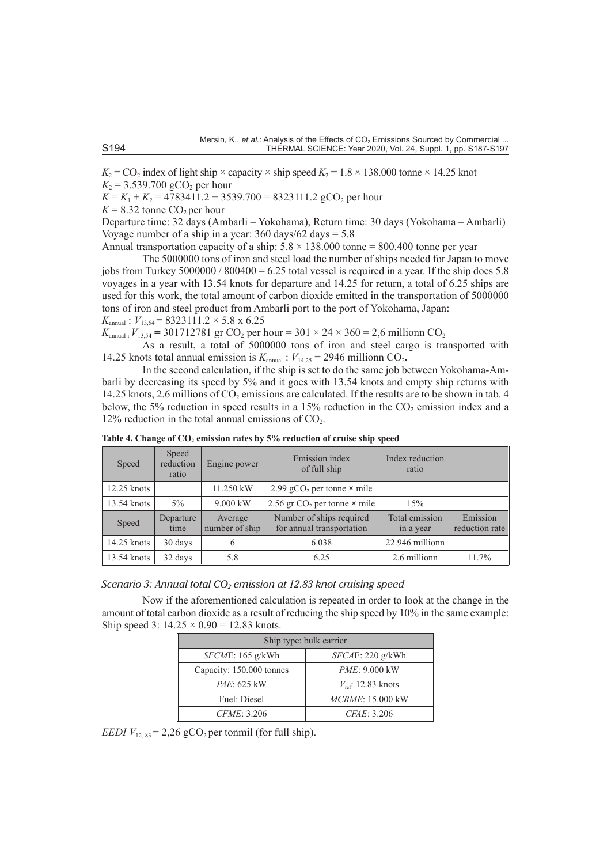$K_2$  = CO<sub>2</sub> index of light ship  $\times$  capacity  $\times$  ship speed  $K_2$  = 1.8  $\times$  138.000 tonne  $\times$  14.25 knot  $K_2 = 3.539.700 \text{ gCO}_2 \text{ per hour}$ 

 $K = K_1 + K_2 = 4783411.2 + 3539.700 = 8323111.2 \text{ gCO}_2 \text{ per hour}$ 

 $K = 8.32$  tonne  $CO<sub>2</sub>$  per hour

Departure time: 32 days (Ambarli – Yokohama), Return time: 30 days (Yokohama – Ambarli) Voyage number of a ship in a year:  $360 \text{ days}/62 \text{ days} = 5.8$ 

Annual transportation capacity of a ship:  $5.8 \times 138.000$  tonne = 800.400 tonne per year

The 5000000 tons of iron and steel load the number of ships needed for Japan to move jobs from Turkey  $5000000 / 800400 = 6.25$  total vessel is required in a year. If the ship does 5.8 voyages in a year with 13.54 knots for departure and 14.25 for return, a total of 6.25 ships are used for this work, the total amount of carbon dioxide emitted in the transportation of 5000000 tons of iron and steel product from Ambarli port to the port of Yokohama, Japan:  $K_{\text{annual}}$ :  $V_{13.54} = 8323111.2 \times 5.8 \times 6.25$ 

 $K_{\text{annual}}$ :  $V_{13,54}$  = 301712781 gr CO<sub>2</sub> per hour = 301 × 24 × 360 = 2,6 millionn CO<sub>2</sub>

As a result, a total of 5000000 tons of iron and steel cargo is transported with 14.25 knots total annual emission is  $K_{\text{annual}}$ :  $V_{14,25} = 2946$  millionn CO<sub>2</sub>.

In the second calculation, if the ship is set to do the same job between Yokohama-Ambarli by decreasing its speed by 5% and it goes with 13.54 knots and empty ship returns with 14.25 knots, 2.6 millions of  $CO<sub>2</sub>$  emissions are calculated. If the results are to be shown in tab. 4 below, the 5% reduction in speed results in a 15% reduction in the  $CO<sub>2</sub>$  emission index and a 12% reduction in the total annual emissions of  $CO<sub>2</sub>$ .

| Speed         | Speed<br>reduction<br>ratio | Engine power              | Emission index<br>of full ship                        | Index reduction<br>ratio    |                            |
|---------------|-----------------------------|---------------------------|-------------------------------------------------------|-----------------------------|----------------------------|
| $12.25$ knots |                             | 11.250 kW                 | 2.99 gCO <sub>2</sub> per tonne $\times$ mile         |                             |                            |
| 13.54 knots   | $5\%$                       | $9.000$ kW                | 2.56 gr $CO2$ per tonne $\times$ mile                 | 15%                         |                            |
| Speed         | Departure<br>time           | Average<br>number of ship | Number of ships required<br>for annual transportation | Total emission<br>in a year | Emission<br>reduction rate |
| 14.25 knots   | 30 days                     | 6                         | 6.038                                                 | 22.946 millionn             |                            |
| 13.54 knots   | 32 days                     | 5.8                       | 6.25                                                  | 2.6 millionn                | 11.7%                      |

**Table 4. Change of CO2 emission rates by 5% reduction of cruise ship speed**

*Scenario 3: Annual total CO<sub>2</sub> emission at 12.83 knot cruising speed* 

Now if the aforementioned calculation is repeated in order to look at the change in the amount of total carbon dioxide as a result of reducing the ship speed by 10% in the same example: Ship speed 3:  $14.25 \times 0.90 = 12.83$  knots.

| Ship type: bulk carrier  |                                |  |  |  |
|--------------------------|--------------------------------|--|--|--|
| SFCME: 165 g/kWh         | SFCAE: 220 g/kWh               |  |  |  |
| Capacity: 150.000 tonnes | <i>PME</i> : 9.000 kW          |  |  |  |
| <i>PAE</i> : 625 kW      | $V_{\text{ref}}$ : 12.83 knots |  |  |  |
| Fuel: Diesel             | MCRME: 15.000 kW               |  |  |  |
| <i>CFME</i> : 3.206      | CFAE: 3.206                    |  |  |  |

*EEDI*  $V_{12, 83} = 2,26$  gCO<sub>2</sub> per tonmil (for full ship).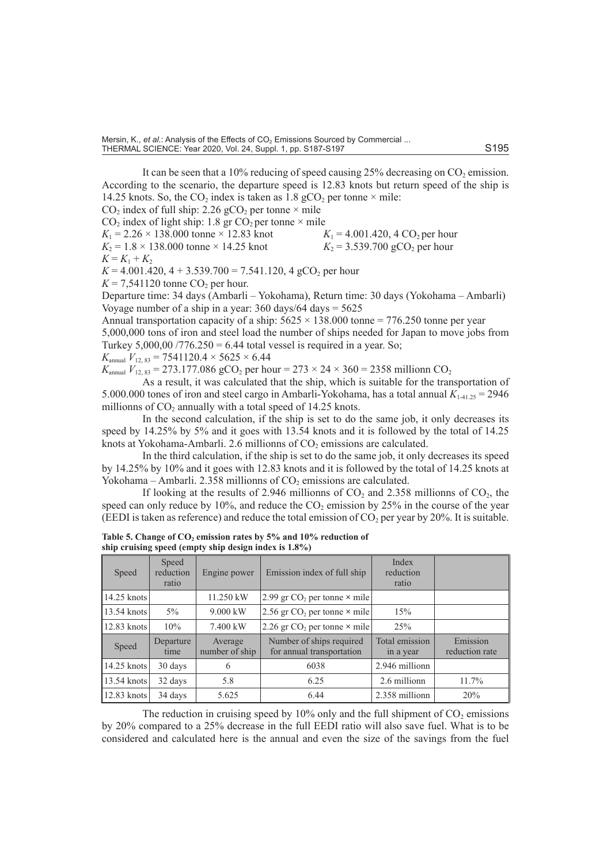It can be seen that a 10% reducing of speed causing 25% decreasing on  $CO<sub>2</sub>$  emission. According to the scenario, the departure speed is 12.83 knots but return speed of the ship is 14.25 knots. So, the  $CO_2$  index is taken as 1.8 gCO<sub>2</sub> per tonne  $\times$  mile:

CO<sub>2</sub> index of full ship: 2.26 gCO<sub>2</sub> per tonne  $\times$  mile

CO<sub>2</sub> index of light ship: 1.8 gr CO<sub>2</sub> per tonne × mile<br> $K_1 = 2.26 \times 138.000$  tonne × 12.83 knot<br> $K_1 = 4.001.420, 4 \text{ CO}_2$  per hour  $K_1 = 2.26 \times 138.000$  tonne × 12.83 knot  $K_1 = 4.001.420, 4 \text{ CO}_2$  per hour<br> $K_2 = 1.8 \times 138.000$  tonne × 14.25 knot  $K_2 = 3.539.700 \text{ gCO}_2$  per hour

 $K_2 = 1.8 \times 138.000$  tonne  $\times$  14.25 knot

 $K = K_1 + K_2$ 

 $K = 4.001.420$ ,  $4 + 3.539.700 = 7.541.120$ ,  $4 \text{ gCO}_2$  per hour

 $K = 7,541120$  tonne CO<sub>2</sub> per hour.

Departure time: 34 days (Ambarli – Yokohama), Return time: 30 days (Yokohama – Ambarli) Voyage number of a ship in a year:  $360 \text{ days}/64 \text{ days} = 5625$ 

Annual transportation capacity of a ship:  $5625 \times 138.000$  tonne = 776.250 tonne per year 5,000,000 tons of iron and steel load the number of ships needed for Japan to move jobs from Turkey  $5,000,00$  /776.250 = 6.44 total vessel is required in a year. So;  $K_{\text{annual}}$   $V_{12, 83} = 7541120.4 \times 5625 \times 6.44$ 

 $K_{\text{annual}}$   $V_{12, 83} = 273.177.086 \text{ gCO}_2$  per hour =  $273 \times 24 \times 360 = 2358 \text{ million CO}_2$ 

As a result, it was calculated that the ship, which is suitable for the transportation of 5.000.000 tones of iron and steel cargo in Ambarli-Yokohama, has a total annual *K*1-41.25 = 2946 millionns of  $CO<sub>2</sub>$  annually with a total speed of 14.25 knots.

In the second calculation, if the ship is set to do the same job, it only decreases its speed by 14.25% by 5% and it goes with 13.54 knots and it is followed by the total of 14.25 knots at Yokohama-Ambarli. 2.6 millionns of  $CO<sub>2</sub>$  emissions are calculated.

In the third calculation, if the ship is set to do the same job, it only decreases its speed by 14.25% by 10% and it goes with 12.83 knots and it is followed by the total of 14.25 knots at Yokohama – Ambarli. 2.358 millionns of  $CO<sub>2</sub>$  emissions are calculated.

If looking at the results of 2.946 millionns of  $CO<sub>2</sub>$  and 2.358 millionns of  $CO<sub>2</sub>$ , the speed can only reduce by 10%, and reduce the  $CO<sub>2</sub>$  emission by 25% in the course of the year (EEDI is taken as reference) and reduce the total emission of  $CO<sub>2</sub>$  per year by 20%. It is suitable.

| Speed         | Speed<br>reduction<br>ratio | Engine power              | Emission index of full ship                           | Index<br>reduction<br>ratio |                            |
|---------------|-----------------------------|---------------------------|-------------------------------------------------------|-----------------------------|----------------------------|
| 14.25 knots   |                             | 11.250 kW                 | 2.99 gr $CO2$ per tonne $\times$ mile                 |                             |                            |
| $13.54$ knots | $5\%$                       | $9.000$ kW                | 2.56 gr $CO2$ per tonne $\times$ mile                 | 15%                         |                            |
| 12.83 knots   | 10%                         | 7.400 kW                  | 2.26 gr $CO2$ per tonne $\times$ mile                 | 25%                         |                            |
| Speed         | Departure<br>time           | Average<br>number of ship | Number of ships required<br>for annual transportation | Total emission<br>in a year | Emission<br>reduction rate |
| $14.25$ knots | 30 days                     | 6                         | 6038                                                  | 2.946 millionn              |                            |
| $13.54$ knots | 32 days                     | 5.8                       | 6.25                                                  | 2.6 millionn                | 11.7%                      |
| $12.83$ knots | 34 days                     | 5.625                     | 6.44                                                  | 2.358 millionn              | 20%                        |

**Table 5. Change of CO2 emission rates by 5% and 10% reduction of ship cruising speed (empty ship design index is 1.8%)**

The reduction in cruising speed by 10% only and the full shipment of  $CO<sub>2</sub>$  emissions by 20% compared to a 25% decrease in the full EEDI ratio will also save fuel. What is to be considered and calculated here is the annual and even the size of the savings from the fuel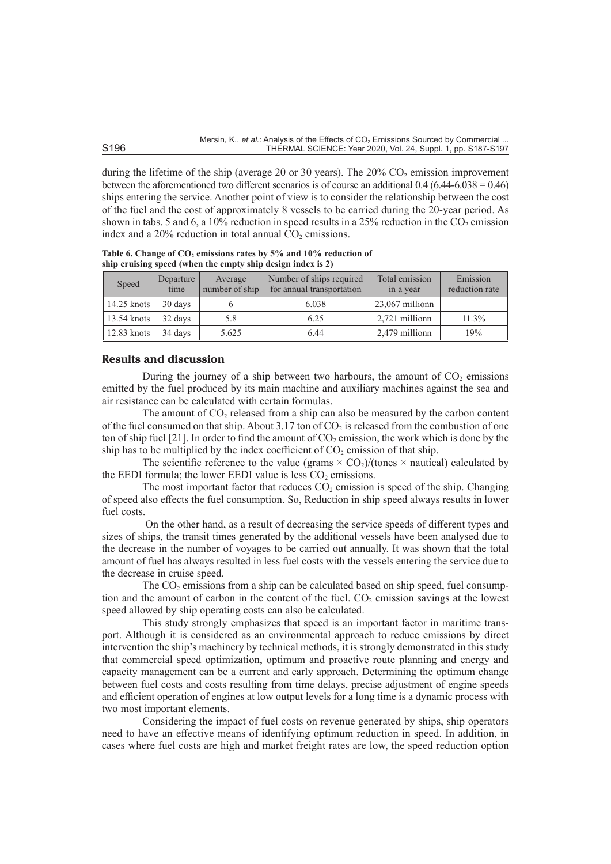during the lifetime of the ship (average 20 or 30 years). The 20%  $CO<sub>2</sub>$  emission improvement between the aforementioned two different scenarios is of course an additional 0.4 (6.44-6.038 = 0.46) ships entering the service. Another point of view is to consider the relationship between the cost of the fuel and the cost of approximately 8 vessels to be carried during the 20-year period. As shown in tabs. 5 and 6, a  $10\%$  reduction in speed results in a  $25\%$  reduction in the CO<sub>2</sub> emission index and a  $20\%$  reduction in total annual  $CO<sub>2</sub>$  emissions.

| Speed           | Departure<br>time | Average<br>number of ship | Number of ships required<br>for annual transportation | Total emission<br>in a year | Emission<br>reduction rate |
|-----------------|-------------------|---------------------------|-------------------------------------------------------|-----------------------------|----------------------------|
| 14.25 knots $ $ | 30 days           |                           | 6.038                                                 | 23,067 millionn             |                            |
| $13.54$ knots   | 32 days           | 5.8                       | 6.25                                                  | 2.721 millionn              | 11.3%                      |
| 12.83 knots $ $ | 34 days           | 5.625                     | 6.44                                                  | 2,479 millionn              | 19%                        |

**Table 6. Change of CO2 emissions rates by 5% and 10% reduction of ship cruising speed (when the empty ship design index is 2)**

# **Results and discussion**

During the journey of a ship between two harbours, the amount of  $CO<sub>2</sub>$  emissions emitted by the fuel produced by its main machine and auxiliary machines against the sea and air resistance can be calculated with certain formulas.

The amount of  $CO<sub>2</sub>$  released from a ship can also be measured by the carbon content of the fuel consumed on that ship. About  $3.17$  ton of CO<sub>2</sub> is released from the combustion of one ton of ship fuel [21]. In order to find the amount of  $CO<sub>2</sub>$  emission, the work which is done by the ship has to be multiplied by the index coefficient of  $CO<sub>2</sub>$  emission of that ship.

The scientific reference to the value (grams  $\times$  CO<sub>2</sub>)/(tones  $\times$  nautical) calculated by the EEDI formula; the lower EEDI value is less  $CO<sub>2</sub>$  emissions.

The most important factor that reduces  $CO<sub>2</sub>$  emission is speed of the ship. Changing of speed also effects the fuel consumption. So, Reduction in ship speed always results in lower fuel costs.

 On the other hand, as a result of decreasing the service speeds of different types and sizes of ships, the transit times generated by the additional vessels have been analysed due to the decrease in the number of voyages to be carried out annually. It was shown that the total amount of fuel has always resulted in less fuel costs with the vessels entering the service due to the decrease in cruise speed.

The  $CO<sub>2</sub>$  emissions from a ship can be calculated based on ship speed, fuel consumption and the amount of carbon in the content of the fuel.  $CO<sub>2</sub>$  emission savings at the lowest speed allowed by ship operating costs can also be calculated.

This study strongly emphasizes that speed is an important factor in maritime transport. Although it is considered as an environmental approach to reduce emissions by direct intervention the ship's machinery by technical methods, it is strongly demonstrated in this study that commercial speed optimization, optimum and proactive route planning and energy and capacity management can be a current and early approach. Determining the optimum change between fuel costs and costs resulting from time delays, precise adjustment of engine speeds and efficient operation of engines at low output levels for a long time is a dynamic process with two most important elements.

Considering the impact of fuel costs on revenue generated by ships, ship operators need to have an effective means of identifying optimum reduction in speed. In addition, in cases where fuel costs are high and market freight rates are low, the speed reduction option